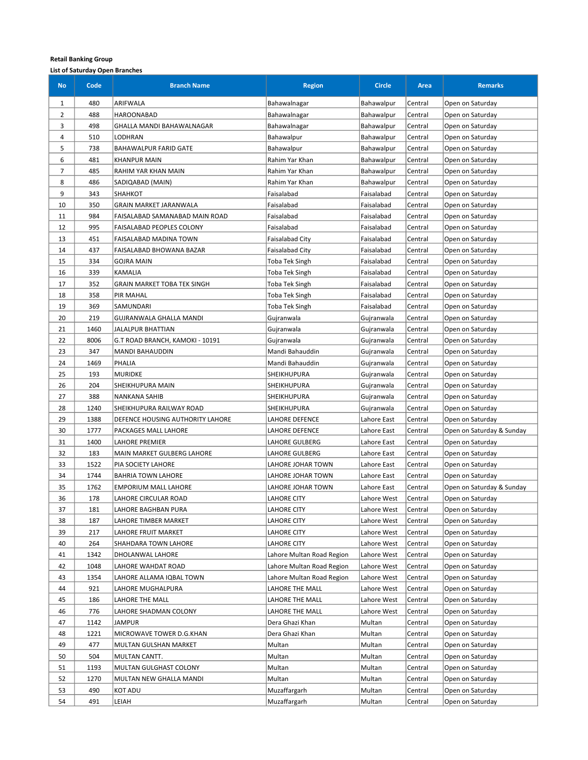| <b>No</b>      | Code | <b>Branch Name</b>                 | <b>Region</b>             | <b>Circle</b> | Area    | <b>Remarks</b>            |
|----------------|------|------------------------------------|---------------------------|---------------|---------|---------------------------|
| 1              | 480  | ARIFWALA                           | Bahawalnagar              | Bahawalpur    | Central | Open on Saturday          |
| 2              | 488  | <b>HAROONABAD</b>                  | Bahawalnagar              | Bahawalpur    | Central | Open on Saturday          |
| 3              | 498  | <b>GHALLA MANDI BAHAWALNAGAR</b>   | Bahawalnagar              | Bahawalpur    | Central | Open on Saturday          |
| 4              | 510  | LODHRAN                            | Bahawalpur                | Bahawalpur    | Central | Open on Saturday          |
| 5              | 738  | <b>BAHAWALPUR FARID GATE</b>       | Bahawalpur                | Bahawalpur    | Central | Open on Saturday          |
| 6              | 481  | <b>KHANPUR MAIN</b>                | Rahim Yar Khan            | Bahawalpur    | Central | Open on Saturday          |
| $\overline{7}$ | 485  | RAHIM YAR KHAN MAIN                | Rahim Yar Khan            | Bahawalpur    | Central | Open on Saturday          |
| 8              | 486  | SADIQABAD (MAIN)                   | Rahim Yar Khan            | Bahawalpur    | Central | Open on Saturday          |
| 9              | 343  | <b>SHAHKOT</b>                     | Faisalabad                | Faisalabad    | Central | Open on Saturday          |
| 10             | 350  | GRAIN MARKET JARANWALA             | Faisalabad                | Faisalabad    | Central | Open on Saturday          |
| 11             | 984  | FAISALABAD SAMANABAD MAIN ROAD     | Faisalabad                | Faisalabad    | Central | Open on Saturday          |
| 12             | 995  | FAISALABAD PEOPLES COLONY          | Faisalabad                | Faisalabad    | Central | Open on Saturday          |
| 13             | 451  | FAISALABAD MADINA TOWN             | Faisalabad City           | Faisalabad    | Central | Open on Saturday          |
| 14             | 437  | FAISALABAD BHOWANA BAZAR           | Faisalabad City           | Faisalabad    | Central | Open on Saturday          |
| 15             | 334  | <b>GOJRA MAIN</b>                  | Toba Tek Singh            | Faisalabad    | Central | Open on Saturday          |
| 16             | 339  | <b>KAMALIA</b>                     | <b>Toba Tek Singh</b>     | Faisalabad    | Central | Open on Saturday          |
| 17             | 352  | <b>GRAIN MARKET TOBA TEK SINGH</b> | Toba Tek Singh            | Faisalabad    | Central | Open on Saturday          |
| 18             | 358  | <b>PIR MAHAL</b>                   | <b>Toba Tek Singh</b>     | Faisalabad    | Central | Open on Saturday          |
| 19             | 369  | SAMUNDARI                          | <b>Toba Tek Singh</b>     | Faisalabad    | Central | Open on Saturday          |
| 20             | 219  | <b>GUJRANWALA GHALLA MANDI</b>     | Gujranwala                | Gujranwala    | Central | Open on Saturday          |
| 21             | 1460 | JALALPUR BHATTIAN                  | Gujranwala                | Gujranwala    | Central | Open on Saturday          |
| 22             | 8006 | G.T ROAD BRANCH, KAMOKI - 10191    | Gujranwala                | Gujranwala    | Central | Open on Saturday          |
| 23             | 347  | <b>MANDI BAHAUDDIN</b>             | Mandi Bahauddin           | Gujranwala    | Central | Open on Saturday          |
| 24             | 1469 | PHALIA                             | Mandi Bahauddin           | Gujranwala    | Central | Open on Saturday          |
| 25             | 193  | <b>MURIDKE</b>                     | SHEIKHUPURA               | Gujranwala    | Central | Open on Saturday          |
| 26             | 204  | SHEIKHUPURA MAIN                   | <b>SHEIKHUPURA</b>        | Gujranwala    | Central | Open on Saturday          |
| 27             | 388  | NANKANA SAHIB                      | SHEIKHUPURA               | Gujranwala    | Central | Open on Saturday          |
| 28             | 1240 | SHEIKHUPURA RAILWAY ROAD           | SHEIKHUPURA               | Gujranwala    | Central | Open on Saturday          |
| 29             | 1388 | DEFENCE HOUSING AUTHORITY LAHORE   | LAHORE DEFENCE            | Lahore East   | Central | Open on Saturday          |
| 30             | 1777 | PACKAGES MALL LAHORE               | LAHORE DEFENCE            | Lahore East   | Central | Open on Saturday & Sunday |
| 31             | 1400 | LAHORE PREMIER                     | LAHORE GULBERG            | Lahore East   | Central | Open on Saturday          |
| 32             | 183  | MAIN MARKET GULBERG LAHORE         | LAHORE GULBERG            | Lahore East   | Central | Open on Saturday          |
| 33             | 1522 | PIA SOCIETY LAHORE                 | LAHORE JOHAR TOWN         | Lahore East   | Central | Open on Saturday          |
| 34             | 1744 | <b>BAHRIA TOWN LAHORE</b>          | LAHORE JOHAR TOWN         | Lahore East   | Central | Open on Saturday          |
| 35             | 1762 | <b>EMPORIUM MALL LAHORE</b>        | LAHORE JOHAR TOWN         | Lahore East   | Central | Open on Saturday & Sunday |
| 36             | 178  | LAHORE CIRCULAR ROAD               | <b>LAHORE CITY</b>        | Lahore West   | Central | Open on Saturday          |
| 37             | 181  | LAHORE BAGHBAN PURA                | <b>LAHORE CITY</b>        | Lahore West   | Central | Open on Saturday          |
| 38             | 187  | LAHORE TIMBER MARKET               | <b>LAHORE CITY</b>        | Lahore West   | Central | Open on Saturday          |
| 39             | 217  | LAHORE FRUIT MARKET                | <b>LAHORE CITY</b>        | Lahore West   | Central | Open on Saturday          |
| 40             | 264  | SHAHDARA TOWN LAHORE               | <b>LAHORE CITY</b>        | Lahore West   | Central | Open on Saturday          |
| 41             | 1342 | DHOLANWAL LAHORE                   | Lahore Multan Road Region | Lahore West   | Central | Open on Saturday          |
| 42             | 1048 | LAHORE WAHDAT ROAD                 | Lahore Multan Road Region | Lahore West   | Central | Open on Saturday          |
| 43             | 1354 | LAHORE ALLAMA IQBAL TOWN           | Lahore Multan Road Region | Lahore West   | Central | Open on Saturday          |
| 44             | 921  | LAHORE MUGHALPURA                  | LAHORE THE MALL           | Lahore West   | Central | Open on Saturday          |
| 45             | 186  | LAHORE THE MALL                    | LAHORE THE MALL           | Lahore West   | Central | Open on Saturday          |
| 46             | 776  | LAHORE SHADMAN COLONY              | LAHORE THE MALL           | Lahore West   | Central | Open on Saturday          |
| 47             | 1142 | JAMPUR                             | Dera Ghazi Khan           | Multan        | Central | Open on Saturday          |
| 48             | 1221 | MICROWAVE TOWER D.G.KHAN           | Dera Ghazi Khan           | Multan        | Central | Open on Saturday          |
| 49             | 477  | MULTAN GULSHAN MARKET              | Multan                    | Multan        | Central | Open on Saturday          |
| 50             | 504  | MULTAN CANTT.                      | Multan                    | Multan        | Central | Open on Saturday          |
| 51             | 1193 | MULTAN GULGHAST COLONY             | Multan                    | Multan        | Central | Open on Saturday          |
| 52             | 1270 | MULTAN NEW GHALLA MANDI            | Multan                    | Multan        | Central | Open on Saturday          |
| 53             | 490  | KOT ADU                            | Muzaffargarh              | Multan        | Central | Open on Saturday          |
| 54             | 491  | LEIAH                              | Muzaffargarh              | Multan        | Central | Open on Saturday          |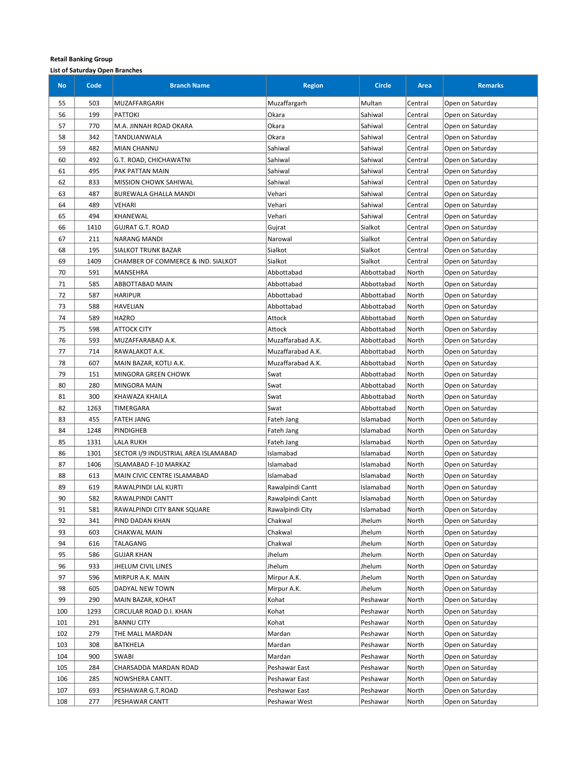| <b>No</b>  | Code       | <b>Branch Name</b>                   | <b>Region</b>     | <b>Circle</b> | Area    | <b>Remarks</b>   |
|------------|------------|--------------------------------------|-------------------|---------------|---------|------------------|
| 55         | 503        | MUZAFFARGARH                         | Muzaffargarh      | Multan        | Central | Open on Saturday |
| 56         | 199        | PATTOKI                              | Okara             | Sahiwal       | Central | Open on Saturday |
| 57         | 770        | M.A. JINNAH ROAD OKARA               | Okara             | Sahiwal       | Central | Open on Saturday |
| 58         | 342        | TANDLIANWALA                         | Okara             | Sahiwal       | Central | Open on Saturday |
| 59         | 482        | MIAN CHANNU                          | Sahiwal           | Sahiwal       | Central | Open on Saturday |
| 60         | 492        | G.T. ROAD, CHICHAWATNI               | Sahiwal           | Sahiwal       | Central | Open on Saturday |
| 61         | 495        | PAK PATTAN MAIN                      | Sahiwal           | Sahiwal       | Central | Open on Saturday |
| 62         | 833        | <b>MISSION CHOWK SAHIWAL</b>         | Sahiwal           | Sahiwal       | Central | Open on Saturday |
| 63         | 487        | BUREWALA GHALLA MANDI                | Vehari            | Sahiwal       | Central | Open on Saturday |
| 64         | 489        | VEHARI                               | Vehari            | Sahiwal       | Central | Open on Saturday |
| 65         | 494        | KHANEWAL                             | Vehari            | Sahiwal       | Central | Open on Saturday |
| 66         | 1410       | GUJRAT G.T. ROAD                     | Gujrat            | Sialkot       | Central | Open on Saturday |
| 67         | 211        | NARANG MANDI                         | Narowal           | Sialkot       | Central | Open on Saturday |
| 68         | 195        | <b>SIALKOT TRUNK BAZAR</b>           | Sialkot           | Sialkot       | Central | Open on Saturday |
| 69         | 1409       | CHAMBER OF COMMERCE & IND. SIALKOT   | Sialkot           | Sialkot       | Central | Open on Saturday |
| 70         | 591        | MANSEHRA                             | Abbottabad        | Abbottabad    | North   | Open on Saturday |
| 71         | 585        | ABBOTTABAD MAIN                      | Abbottabad        | Abbottabad    | North   | Open on Saturday |
| 72         | 587        | <b>HARIPUR</b>                       | Abbottabad        | Abbottabad    | North   | Open on Saturday |
| 73         | 588        | HAVELIAN                             | Abbottabad        | Abbottabad    | North   | Open on Saturday |
| 74         | 589        | <b>HAZRO</b>                         | Attock            | Abbottabad    | North   | Open on Saturday |
| 75         | 598        | <b>ATTOCK CITY</b>                   | Attock            | Abbottabad    | North   | Open on Saturday |
| 76         | 593        | MUZAFFARABAD A.K.                    | Muzaffarabad A.K. | Abbottabad    | North   | Open on Saturday |
| 77         | 714        | RAWALAKOT A.K.                       | Muzaffarabad A.K. | Abbottabad    | North   | Open on Saturday |
| 78         | 607        | MAIN BAZAR, KOTLI A.K.               | Muzaffarabad A.K. | Abbottabad    | North   | Open on Saturday |
| 79         | 151        | <b>MINGORA GREEN CHOWK</b>           | Swat              | Abbottabad    | North   | Open on Saturday |
| 80         | 280        | MINGORA MAIN                         | Swat              | Abbottabad    | North   | Open on Saturday |
| 81         | 300        | KHAWAZA KHAILA                       | Swat              | Abbottabad    | North   | Open on Saturday |
| 82         | 1263       | TIMERGARA                            | Swat              | Abbottabad    | North   | Open on Saturday |
| 83         | 455        | <b>FATEH JANG</b>                    | Fateh Jang        | Islamabad     | North   | Open on Saturday |
| 84         | 1248       | PINDIGHEB                            | Fateh Jang        | Islamabad     | North   | Open on Saturday |
| 85         | 1331       | LALA RUKH                            | Fateh Jang        | Islamabad     | North   | Open on Saturday |
| 86         | 1301       | SECTOR I/9 INDUSTRIAL AREA ISLAMABAD | Islamabad         | Islamabad     | North   | Open on Saturday |
| 87         | 1406       | ISLAMABAD F-10 MARKAZ                | Islamabad         | Islamabad     | North   | Open on Saturday |
| 88         | 613        | MAIN CIVIC CENTRE ISLAMABAD          | Islamabad         | Islamabad     | North   | Open on Saturday |
| 89         | 619        | RAWALPINDI LAL KURTI                 | Rawalpindi Cantt  | Islamabad     | North   | Open on Saturday |
| 90         | 582        | RAWALPINDI CANTT                     | Rawalpindi Cantt  | Islamabad     | North   | Open on Saturday |
| 91         | 581        | RAWALPINDI CITY BANK SQUARE          | Rawalpindi City   | Islamabad     | North   | Open on Saturday |
| 92         | 341        | PIND DADAN KHAN                      | Chakwal           | Jhelum        | North   | Open on Saturday |
| 93         | 603        | <b>CHAKWAL MAIN</b>                  | Chakwal           | Jhelum        | North   | Open on Saturday |
| 94         | 616        | TALAGANG                             | Chakwal           | Jhelum        | North   | Open on Saturday |
| 95         | 586        | GUJAR KHAN                           | Jhelum            | Jhelum        | North   | Open on Saturday |
| 96         | 933        | JHELUM CIVIL LINES                   | Jhelum            | Jhelum        | North   | Open on Saturday |
| 97         | 596        | MIRPUR A.K. MAIN                     | Mirpur A.K.       | Jhelum        | North   | Open on Saturday |
| 98         | 605        | DADYAL NEW TOWN                      | Mirpur A.K.       | Jhelum        | North   | Open on Saturday |
| 99         | 290        | MAIN BAZAR, KOHAT                    | Kohat             | Peshawar      | North   | Open on Saturday |
| 100        | 1293       | CIRCULAR ROAD D.I. KHAN              | Kohat             | Peshawar      | North   | Open on Saturday |
| 101        | 291        | <b>BANNU CITY</b>                    | Kohat             | Peshawar      | North   | Open on Saturday |
| 102        | 279        | THE MALL MARDAN                      | Mardan            | Peshawar      | North   | Open on Saturday |
| 103        | 308        | BATKHELA                             | Mardan            | Peshawar      | North   | Open on Saturday |
| 104        | 900        | <b>SWABI</b>                         | Mardan            | Peshawar      | North   | Open on Saturday |
| 105        | 284        | CHARSADDA MARDAN ROAD                | Peshawar East     | Peshawar      | North   | Open on Saturday |
| 106        | 285        | NOWSHERA CANTT.                      | Peshawar East     | Peshawar      | North   | Open on Saturday |
| 107<br>108 | 693<br>277 | PESHAWAR G.T.ROAD                    | Peshawar East     | Peshawar      | North   | Open on Saturday |
|            |            | PESHAWAR CANTT                       | Peshawar West     | Peshawar      | North   | Open on Saturday |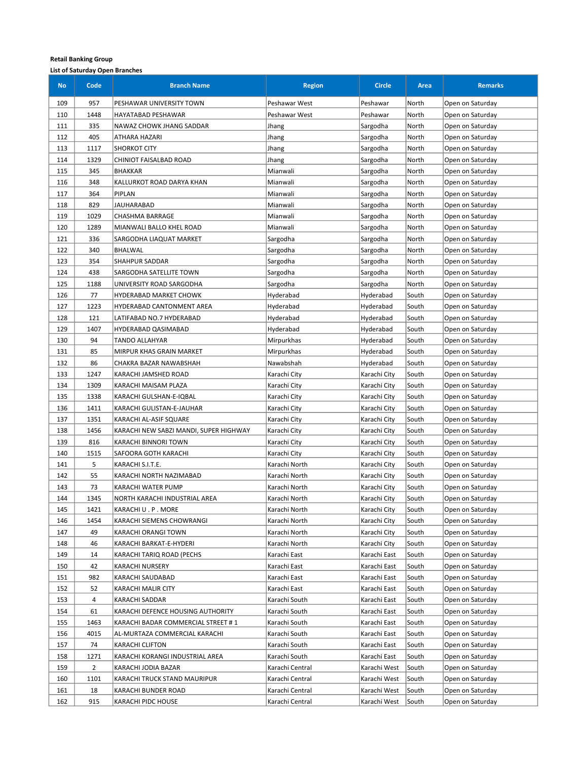| <b>No</b>  | Code           | <b>Branch Name</b>                               | <b>Region</b>                  | <b>Circle</b>                | Area           | <b>Remarks</b>                       |
|------------|----------------|--------------------------------------------------|--------------------------------|------------------------------|----------------|--------------------------------------|
| 109        | 957            | PESHAWAR UNIVERSITY TOWN                         | Peshawar West                  | Peshawar                     | North          | Open on Saturday                     |
| 110        | 1448           | HAYATABAD PESHAWAR                               | Peshawar West                  | Peshawar                     | North          | Open on Saturday                     |
| 111        | 335            | NAWAZ CHOWK JHANG SADDAR                         | Jhang                          | Sargodha                     | North          | Open on Saturday                     |
| 112        | 405            | ATHARA HAZARI                                    | Jhang                          | Sargodha                     | North          | Open on Saturday                     |
| 113        | 1117           | <b>SHORKOT CITY</b>                              | Jhang                          | Sargodha                     | North          | Open on Saturday                     |
| 114        | 1329           | CHINIOT FAISALBAD ROAD                           | Jhang                          | Sargodha                     | North          | Open on Saturday                     |
| 115        | 345            | <b>BHAKKAR</b>                                   | Mianwali                       | Sargodha                     | North          | Open on Saturday                     |
| 116        | 348            | KALLURKOT ROAD DARYA KHAN                        | Mianwali                       | Sargodha                     | North          | Open on Saturday                     |
| 117        | 364            | <b>PIPLAN</b>                                    | Mianwali                       | Sargodha                     | North          | Open on Saturday                     |
| 118        | 829            | JAUHARABAD                                       | Mianwali                       | Sargodha                     | North          | Open on Saturday                     |
| 119        | 1029           | CHASHMA BARRAGE                                  | Mianwali                       | Sargodha                     | North          | Open on Saturday                     |
| 120        | 1289           | MIANWALI BALLO KHEL ROAD                         | Mianwali                       | Sargodha                     | North          | Open on Saturday                     |
| 121        | 336            | SARGODHA LIAQUAT MARKET                          | Sargodha                       | Sargodha                     | North          | Open on Saturday                     |
| 122        | 340            | BHALWAL                                          | Sargodha                       | Sargodha                     | North          | Open on Saturday                     |
| 123        | 354            | SHAHPUR SADDAR                                   | Sargodha                       | Sargodha                     | North          | Open on Saturday                     |
| 124        | 438            | SARGODHA SATELLITE TOWN                          | Sargodha                       | Sargodha                     | North          | Open on Saturday                     |
| 125        | 1188           | UNIVERSITY ROAD SARGODHA                         | Sargodha                       | Sargodha                     | North          | Open on Saturday                     |
| 126        | 77             | HYDERABAD MARKET CHOWK                           | Hyderabad                      | Hyderabad                    | South          | Open on Saturday                     |
| 127        | 1223           | HYDERABAD CANTONMENT AREA                        | Hyderabad                      | Hyderabad                    | South          | Open on Saturday                     |
| 128        | 121            | LATIFABAD NO.7 HYDERABAD                         | Hyderabad                      | Hyderabad                    | South          | Open on Saturday                     |
| 129        | 1407           | HYDERABAD QASIMABAD                              | Hyderabad                      | Hyderabad                    | South          | Open on Saturday                     |
| 130        | 94             | TANDO ALLAHYAR                                   | Mirpurkhas                     | Hyderabad                    | South          | Open on Saturday                     |
| 131        | 85             | MIRPUR KHAS GRAIN MARKET                         | Mirpurkhas                     | Hyderabad                    | South          | Open on Saturday                     |
| 132        | 86             | CHAKRA BAZAR NAWABSHAH                           | Nawabshah                      | Hyderabad                    | South          | Open on Saturday                     |
| 133        | 1247           | KARACHI JAMSHED ROAD                             | Karachi City                   | Karachi City                 | South          | Open on Saturday                     |
| 134        | 1309           | KARACHI MAISAM PLAZA                             | Karachi City                   | Karachi City                 | South          | Open on Saturday                     |
| 135        | 1338           | KARACHI GULSHAN-E-IQBAL                          | Karachi City                   | Karachi City                 | South          | Open on Saturday                     |
| 136        | 1411           | KARACHI GULISTAN-E-JAUHAR                        | Karachi City                   | Karachi City                 | South          | Open on Saturday                     |
| 137        | 1351           | KARACHI AL-ASIF SQUARE                           | Karachi City                   | Karachi City                 | South          | Open on Saturday                     |
| 138        | 1456           | KARACHI NEW SABZI MANDI, SUPER HIGHWAY           | Karachi City                   | Karachi City                 | South          | Open on Saturday                     |
| 139        | 816            | KARACHI BINNORI TOWN                             | Karachi City                   | Karachi City                 | South          | Open on Saturday                     |
| 140        | 1515           | SAFOORA GOTH KARACHI                             | Karachi City                   | Karachi City                 | South          | Open on Saturday                     |
| 141        | 5              | KARACHI S.I.T.E.                                 | Karachi North                  | Karachi City                 | South          | Open on Saturday                     |
| 142        | 55             | KARACHI NORTH NAZIMABAD                          | Karachi North                  | Karachi City                 | South          | Open on Saturday                     |
| 143        | 73             | KARACHI WATER PUMP                               | Karachi North                  | Karachi City                 | South          | Open on Saturday                     |
| 144        | 1345           | NORTH KARACHI INDUSTRIAL AREA                    | Karachi North                  | Karachi City                 | South          | Open on Saturday                     |
| 145        | 1421           | KARACHI U . P . MORE                             | Karachi North                  | Karachi City                 | South          | Open on Saturday                     |
| 146        | 1454           | KARACHI SIEMENS CHOWRANGI                        | Karachi North                  | Karachi City                 | South          | Open on Saturday                     |
| 147        | 49             | KARACHI ORANGI TOWN                              | Karachi North                  | Karachi City                 | South          | Open on Saturday                     |
| 148        | 46             | KARACHI BARKAT-E-HYDERI                          | Karachi North                  | Karachi City                 | South          | Open on Saturday                     |
| 149        | 14             | KARACHI TARIQ ROAD (PECHS                        | Karachi East                   | Karachi East                 | South          | Open on Saturday                     |
| 150        | 42             | KARACHI NURSERY                                  | Karachi East                   | Karachi East                 | South          | Open on Saturday                     |
| 151        | 982            | KARACHI SAUDABAD                                 | Karachi East                   | Karachi East                 | South          | Open on Saturday                     |
| 152        | 52             | KARACHI MALIR CITY                               | Karachi East                   | Karachi East                 | South          | Open on Saturday                     |
| 153        | 4              | KARACHI SADDAR                                   | Karachi South                  | Karachi East                 | South          | Open on Saturday                     |
| 154        | 61             | KARACHI DEFENCE HOUSING AUTHORITY                | Karachi South                  | Karachi East                 | South          | Open on Saturday                     |
| 155        | 1463           | KARACHI BADAR COMMERCIAL STREET # 1              | Karachi South                  | Karachi East                 | South          | Open on Saturday                     |
| 156<br>157 | 4015<br>74     | AL-MURTAZA COMMERCIAL KARACHI<br>KARACHI CLIFTON | Karachi South<br>Karachi South | Karachi East<br>Karachi East | South<br>South | Open on Saturday<br>Open on Saturday |
| 158        | 1271           | KARACHI KORANGI INDUSTRIAL AREA                  | Karachi South                  | Karachi East                 | South          | Open on Saturday                     |
| 159        | $\overline{2}$ | KARACHI JODIA BAZAR                              | Karachi Central                | Karachi West                 | South          | Open on Saturday                     |
| 160        | 1101           | KARACHI TRUCK STAND MAURIPUR                     | Karachi Central                | Karachi West                 | South          | Open on Saturday                     |
| 161        | 18             | KARACHI BUNDER ROAD                              | Karachi Central                | Karachi West                 | South          | Open on Saturday                     |
| 162        | 915            | KARACHI PIDC HOUSE                               | Karachi Central                | Karachi West                 | South          | Open on Saturday                     |